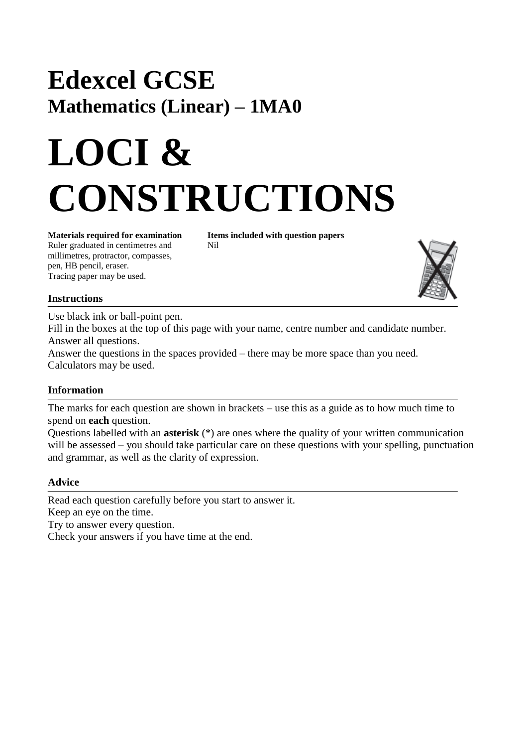## **Edexcel GCSE Mathematics (Linear) – 1MA0**

# **LOCI & CONSTRUCTIONS**

Ruler graduated in centimetres and Nil millimetres, protractor, compasses, pen, HB pencil, eraser. Tracing paper may be used.

**Materials required for examination Items included with question papers**



#### **Instructions**

Use black ink or ball-point pen.

Fill in the boxes at the top of this page with your name, centre number and candidate number. Answer all questions.

Answer the questions in the spaces provided – there may be more space than you need. Calculators may be used.

#### **Information**

The marks for each question are shown in brackets – use this as a guide as to how much time to spend on **each** question.

Questions labelled with an **asterisk** (\*) are ones where the quality of your written communication will be assessed – you should take particular care on these questions with your spelling, punctuation and grammar, as well as the clarity of expression.

#### **Advice**

Read each question carefully before you start to answer it. Keep an eye on the time. Try to answer every question. Check your answers if you have time at the end.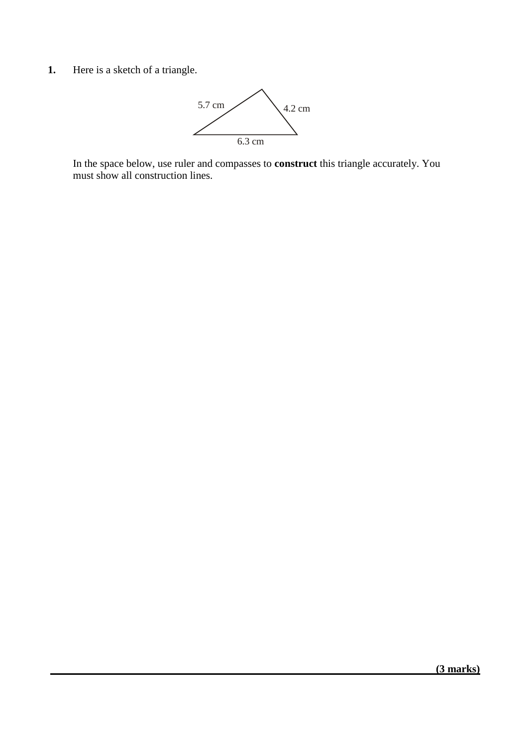**1.** Here is a sketch of a triangle.



In the space below, use ruler and compasses to **construct** this triangle accurately. You must show all construction lines.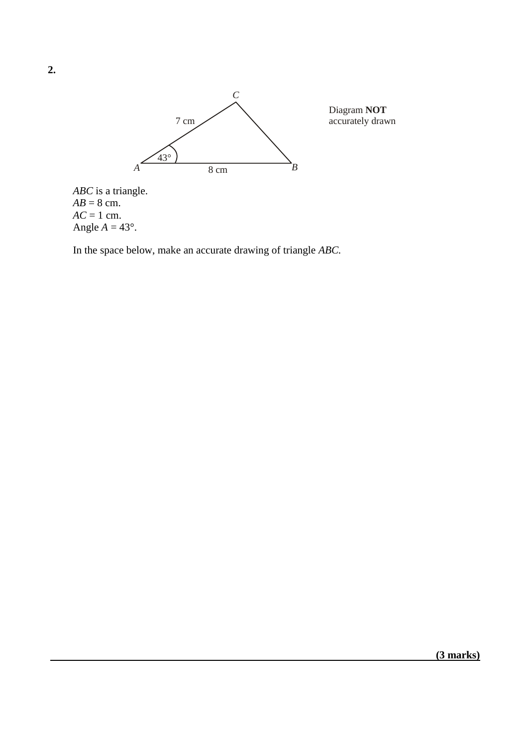

Diagram **NOT**accurately drawn

*ABC* is a triangle.  $AB = 8$  cm.  $AC = 1$  cm. Angle  $A = 43^\circ$ .

In the space below, make an accurate drawing of triangle *ABC.*

**2.**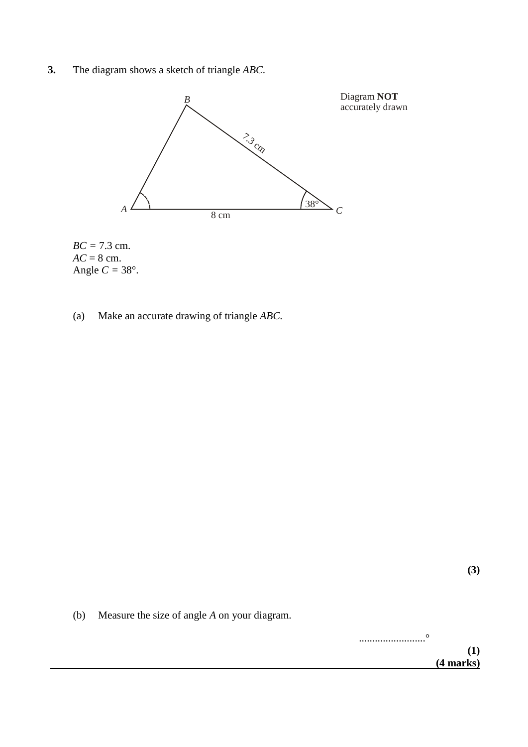**3.** The diagram shows a sketch of triangle *ABC.*





(a) Make an accurate drawing of triangle *ABC.*

(b) Measure the size of angle *A* on your diagram.

.........................° **(1) (4 marks)**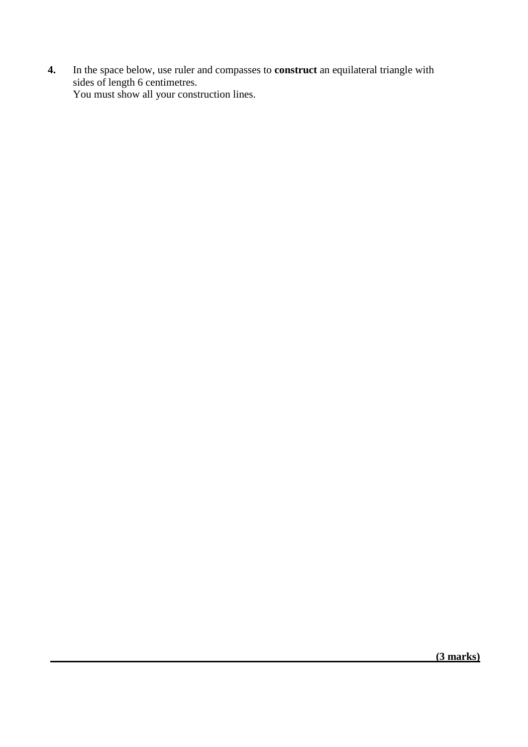**4.** In the space below, use ruler and compasses to **construct** an equilateral triangle with sides of length 6 centimetres. You must show all your construction lines.

 **(3 marks)**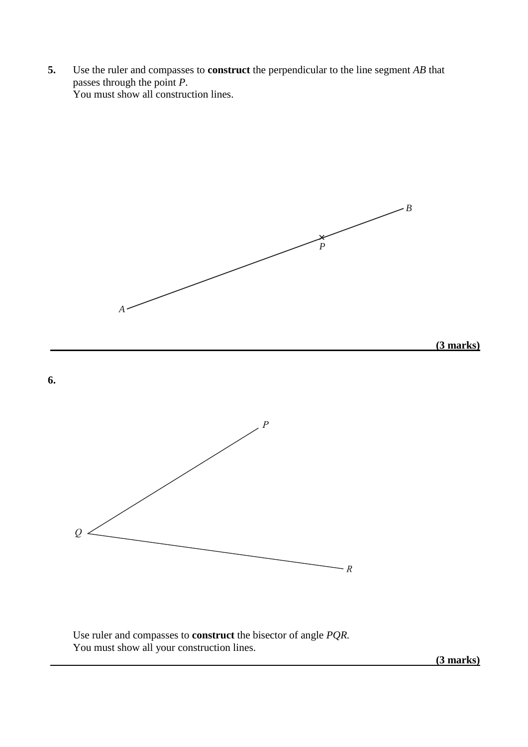**5.** Use the ruler and compasses to **construct** the perpendicular to the line segment *AB* that passes through the point *P*. You must show all construction lines.



Use ruler and compasses to **construct** the bisector of angle *PQR.* You must show all your construction lines.

 **(3 marks)**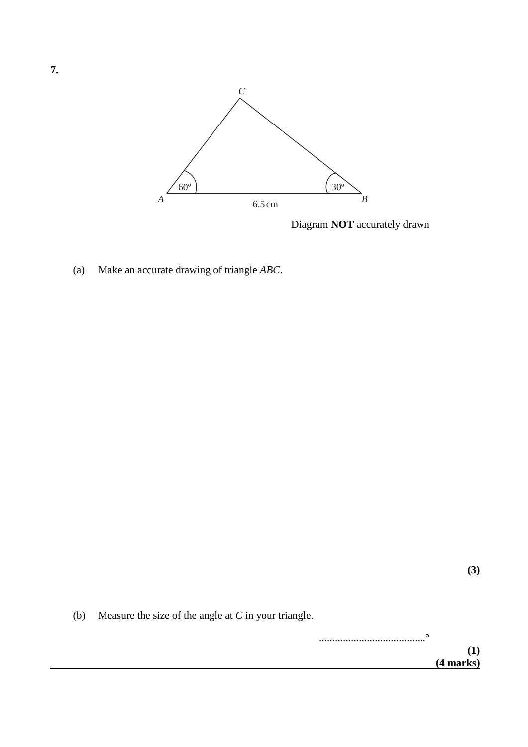

Diagram **NOT** accurately drawn

(a) Make an accurate drawing of triangle *ABC*.

**(3)**

(b) Measure the size of the angle at *C* in your triangle.

........................................° **(1) (4 marks)**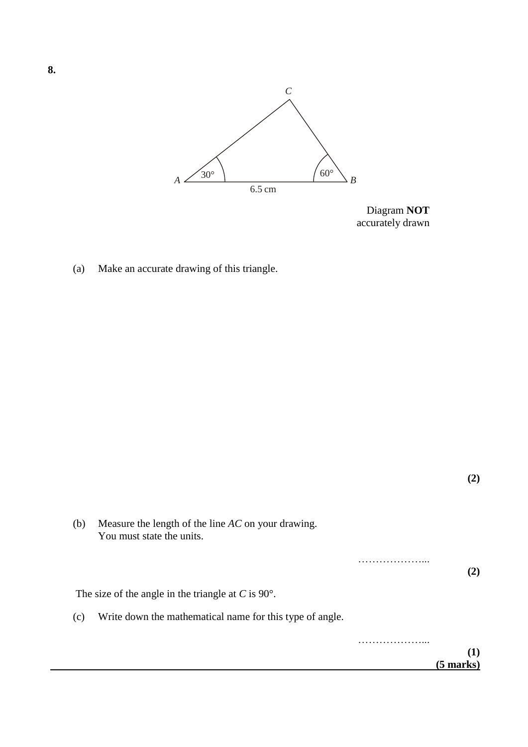

Diagram **NOT** accurately drawn

(a) Make an accurate drawing of this triangle.

| (b) | Measure the length of the line $AC$ on your drawing.<br>You must state the units. |  |           |
|-----|-----------------------------------------------------------------------------------|--|-----------|
|     |                                                                                   |  | (2)       |
|     | The size of the angle in the triangle at C is $90^\circ$ .                        |  |           |
| (c) | Write down the mathematical name for this type of angle.                          |  |           |
|     |                                                                                   |  |           |
|     |                                                                                   |  | (5 marks) |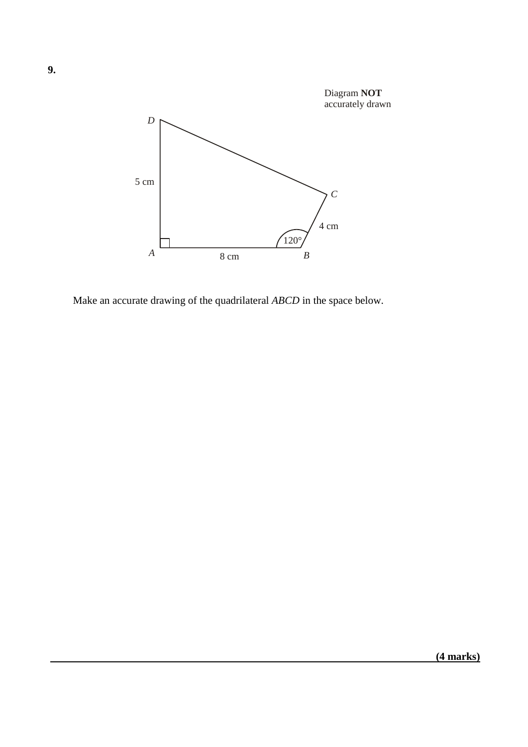

Make an accurate drawing of the quadrilateral *ABCD* in the space below.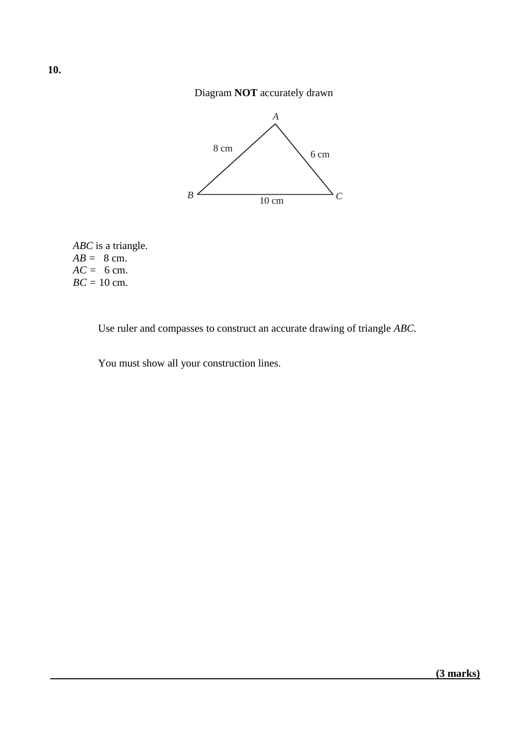### Diagram **NOT** accurately drawn



*ABC* is a triangle.  $AB = 8$  cm.  $AC = 6$  cm. *BC =* 10 cm.

Use ruler and compasses to construct an accurate drawing of triangle *ABC.*

You must show all your construction lines.